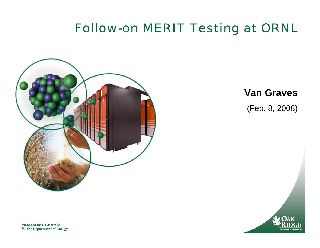#### Follow-on MERIT Testing at ORNL



**Van Graves**

(Feb. 8, 2008)



**Managed by UT-Battelle for the Department of Energy**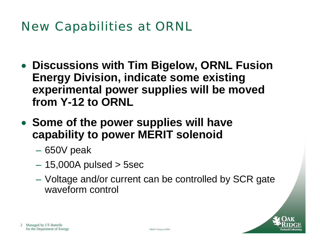### New Capabilities at ORNL

- **Discussions with Tim Bigelow, ORNL Fusion Energy Division, indicate some existing experimental power supplies will be moved from Y-12 to ORNL**
- **Some of the power supplies will have capability to power MERIT solenoid**
	- $\mathcal{L}_{\mathcal{A}}$  , where  $\mathcal{L}_{\mathcal{A}}$  is the set of the set of the set of the set of the set of the set of the set of the set of the set of the set of the set of the set of the set of the set of the set of the set of the 650V peak
	- $\mathcal{L}_{\mathcal{A}}$  , where  $\mathcal{L}_{\mathcal{A}}$  is the set of the set of the set of the set of the set of the set of the set of the set of the set of the set of the set of the set of the set of the set of the set of the set of the 15,000A pulsed > 5sec
	- $\mathcal{L}_{\mathcal{A}}$  , where  $\mathcal{L}_{\mathcal{A}}$  is the set of the set of the set of the set of the set of the set of the set of the set of the set of the set of the set of the set of the set of the set of the set of the set of the Voltage and/or current can be controlled by SCR gate waveform control

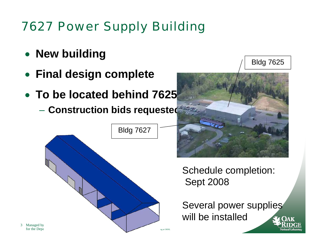# 7627 Power Supply Building

- **New building**
- **Final design complete**
- **To be located behind 7625**
	- **Construction bids requested**





Bldg 7625

Schedule completion: Sept 2008

Several power supplies will be installed

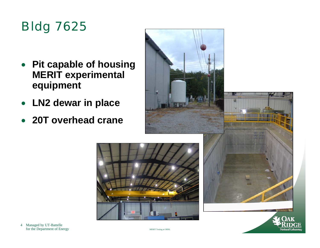## Bldg 7625

- **Pit capable of housing MERIT experimental equipment**
- **LN2 dewar in place**
- **20T overhead crane**





4 Managed by UT-Battelle for the Department of Energy MERIT Testing at ORNL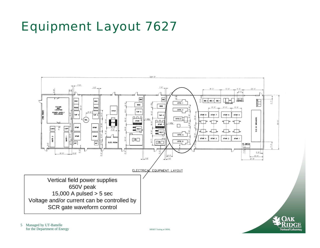### Equipment Layout 7627